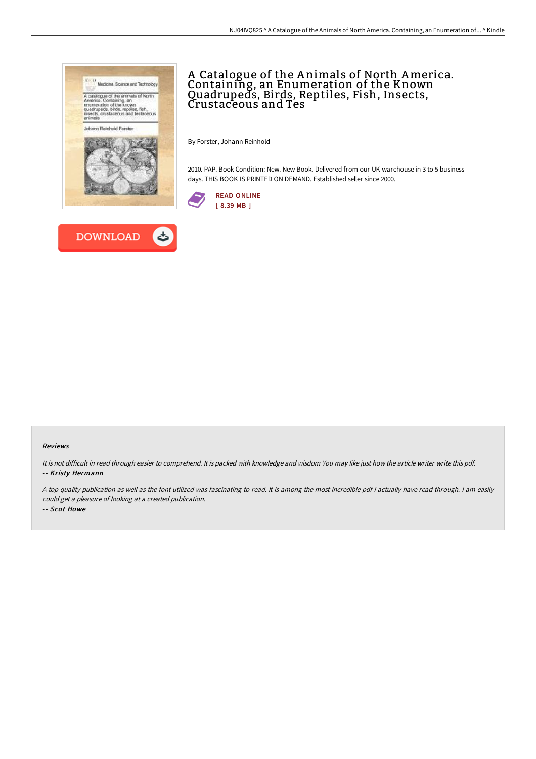



## A Catalogue of the A nimals of North America. Containing, an Enumeration of the Known Quadrupeds, Birds, Reptiles, Fish, Insects, Crustaceous and Tes

By Forster, Johann Reinhold

2010. PAP. Book Condition: New. New Book. Delivered from our UK warehouse in 3 to 5 business days. THIS BOOK IS PRINTED ON DEMAND. Established seller since 2000.



## Reviews

It is not difficult in read through easier to comprehend. It is packed with knowledge and wisdom You may like just how the article writer write this pdf. -- Kristy Hermann

<sup>A</sup> top quality publication as well as the font utilized was fascinating to read. It is among the most incredible pdf i actually have read through. <sup>I</sup> am easily could get <sup>a</sup> pleasure of looking at <sup>a</sup> created publication.

-- Scot Howe